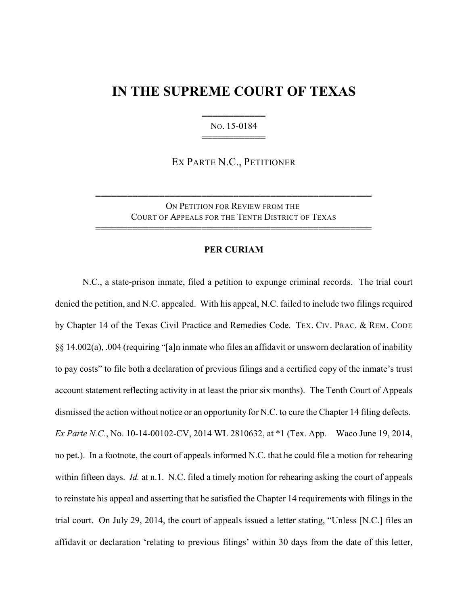## **IN THE SUPREME COURT OF TEXAS**

444444444444 NO. 15-0184 444444444444

EX PARTE N.C., PETITIONER

ON PETITION FOR REVIEW FROM THE COURT OF APPEALS FOR THE TENTH DISTRICT OF TEXAS

4444444444444444444444444444444444444444444444444444

4444444444444444444444444444444444444444444444444444

## **PER CURIAM**

N.C., a state-prison inmate, filed a petition to expunge criminal records. The trial court denied the petition, and N.C. appealed. With his appeal, N.C. failed to include two filings required by Chapter 14 of the Texas Civil Practice and Remedies Code. TEX. CIV. PRAC. & REM. CODE §§ 14.002(a), .004 (requiring "[a]n inmate who files an affidavit or unsworn declaration of inability to pay costs" to file both a declaration of previous filings and a certified copy of the inmate's trust account statement reflecting activity in at least the prior six months). The Tenth Court of Appeals dismissed the action without notice or an opportunity for N.C. to cure the Chapter 14 filing defects. *Ex Parte N.C.*, No. 10-14-00102-CV, 2014 WL 2810632, at \*1 (Tex. App.—Waco June 19, 2014, no pet.). In a footnote, the court of appeals informed N.C. that he could file a motion for rehearing within fifteen days. *Id.* at n.1. N.C. filed a timely motion for rehearing asking the court of appeals to reinstate his appeal and asserting that he satisfied the Chapter 14 requirements with filings in the trial court. On July 29, 2014, the court of appeals issued a letter stating, "Unless [N.C.] files an affidavit or declaration 'relating to previous filings' within 30 days from the date of this letter,